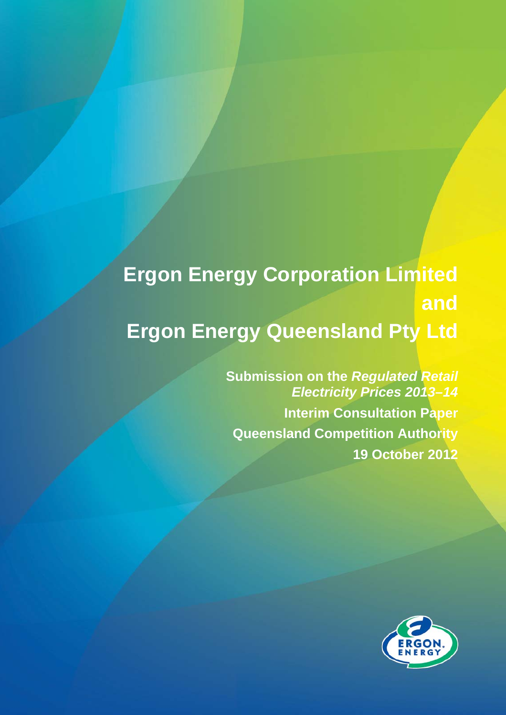# **Ergon Energy Corporation Limited and Ergon Energy Queensland Pty Ltd**

**Submission on the** *Regulated Retail Electricity Prices 2013–14* **Interim Consultation Paper Queensland Competition Authority 19 October 2012** 

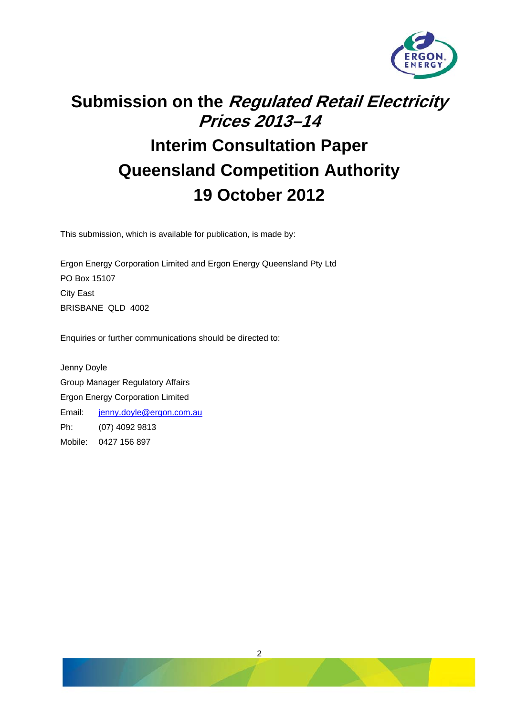

## **Submission on the Regulated Retail Electricity Prices 2013–14**

### **Interim Consultation Paper Queensland Competition Authority 19 October 2012**

This submission, which is available for publication, is made by:

Ergon Energy Corporation Limited and Ergon Energy Queensland Pty Ltd PO Box 15107 City East BRISBANE QLD 4002

Enquiries or further communications should be directed to:

Jenny Doyle Group Manager Regulatory Affairs Ergon Energy Corporation Limited Email: [jenny.doyle@ergon.com.au](mailto:jenny.doyle@ergon.com.au) Ph: (07) 4092 9813 Mobile: 0427 156 897

2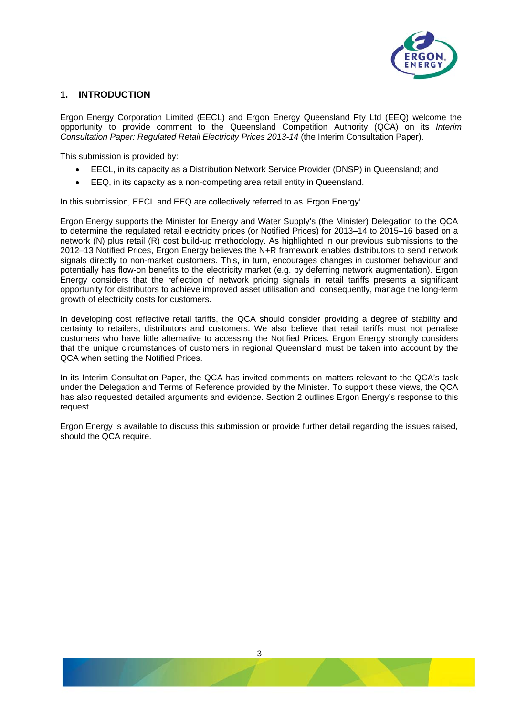

#### **1. INTRODUCTION**

Ergon Energy Corporation Limited (EECL) and Ergon Energy Queensland Pty Ltd (EEQ) welcome the opportunity to provide comment to the Queensland Competition Authority (QCA) on its *Interim Consultation Paper: Regulated Retail Electricity Prices 2013-14* (the Interim Consultation Paper).

This submission is provided by:

- EECL, in its capacity as a Distribution Network Service Provider (DNSP) in Queensland; and
- EEQ, in its capacity as a non-competing area retail entity in Queensland.

In this submission, EECL and EEQ are collectively referred to as 'Ergon Energy'.

Ergon Energy supports the Minister for Energy and Water Supply's (the Minister) Delegation to the QCA to determine the regulated retail electricity prices (or Notified Prices) for 2013–14 to 2015–16 based on a network (N) plus retail (R) cost build-up methodology. As highlighted in our previous submissions to the 2012–13 Notified Prices, Ergon Energy believes the N+R framework enables distributors to send network signals directly to non-market customers. This, in turn, encourages changes in customer behaviour and potentially has flow-on benefits to the electricity market (e.g. by deferring network augmentation). Ergon Energy considers that the reflection of network pricing signals in retail tariffs presents a significant opportunity for distributors to achieve improved asset utilisation and, consequently, manage the long-term growth of electricity costs for customers.

In developing cost reflective retail tariffs, the QCA should consider providing a degree of stability and certainty to retailers, distributors and customers. We also believe that retail tariffs must not penalise customers who have little alternative to accessing the Notified Prices. Ergon Energy strongly considers that the unique circumstances of customers in regional Queensland must be taken into account by the QCA when setting the Notified Prices.

In its Interim Consultation Paper, the QCA has invited comments on matters relevant to the QCA's task under the Delegation and Terms of Reference provided by the Minister. To support these views, the QCA has also requested detailed arguments and evidence. Section 2 outlines Ergon Energy's response to this request.

Ergon Energy is available to discuss this submission or provide further detail regarding the issues raised, should the QCA require.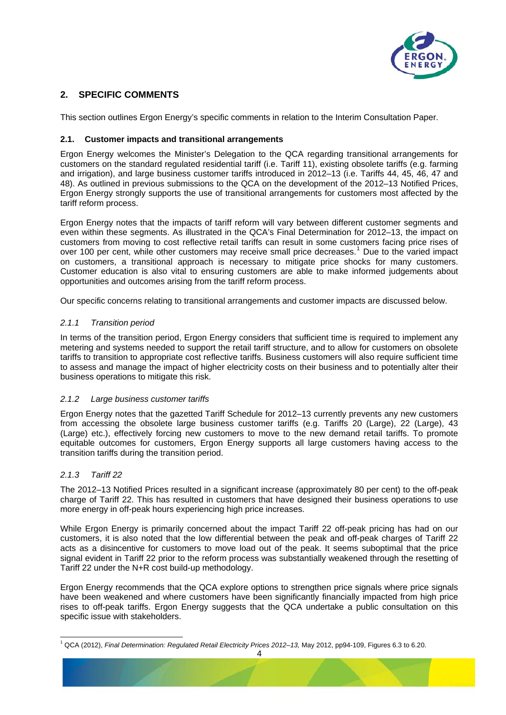

#### **2. SPECIFIC COMMENTS**

This section outlines Ergon Energy's specific comments in relation to the Interim Consultation Paper.

#### **2.1. Customer impacts and transitional arrangements**

Ergon Energy welcomes the Minister's Delegation to the QCA regarding transitional arrangements for customers on the standard regulated residential tariff (i.e. Tariff 11), existing obsolete tariffs (e.g. farming and irrigation), and large business customer tariffs introduced in 2012–13 (i.e. Tariffs 44, 45, 46, 47 and 48). As outlined in previous submissions to the QCA on the development of the 2012–13 Notified Prices, Ergon Energy strongly supports the use of transitional arrangements for customers most affected by the tariff reform process.

Ergon Energy notes that the impacts of tariff reform will vary between different customer segments and even within these segments. As illustrated in the QCA's Final Determination for 2012–13, the impact on customers from moving to cost reflective retail tariffs can result in some customers facing price rises of over [1](#page-3-0)00 per cent, while other customers may receive small price decreases.<sup>1</sup> Due to the varied impact on customers, a transitional approach is necessary to mitigate price shocks for many customers. Customer education is also vital to ensuring customers are able to make informed judgements about opportunities and outcomes arising from the tariff reform process.

Our specific concerns relating to transitional arrangements and customer impacts are discussed below.

#### *2.1.1 Transition period*

In terms of the transition period, Ergon Energy considers that sufficient time is required to implement any metering and systems needed to support the retail tariff structure, and to allow for customers on obsolete tariffs to transition to appropriate cost reflective tariffs. Business customers will also require sufficient time to assess and manage the impact of higher electricity costs on their business and to potentially alter their business operations to mitigate this risk.

#### *2.1.2 Large business customer tariffs*

Ergon Energy notes that the gazetted Tariff Schedule for 2012–13 currently prevents any new customers from accessing the obsolete large business customer tariffs (e.g. Tariffs 20 (Large), 22 (Large), 43 (Large) etc.), effectively forcing new customers to move to the new demand retail tariffs. To promote equitable outcomes for customers, Ergon Energy supports all large customers having access to the transition tariffs during the transition period.

#### *2.1.3 Tariff 22*

l

The 2012–13 Notified Prices resulted in a significant increase (approximately 80 per cent) to the off-peak charge of Tariff 22. This has resulted in customers that have designed their business operations to use more energy in off-peak hours experiencing high price increases.

While Ergon Energy is primarily concerned about the impact Tariff 22 off-peak pricing has had on our customers, it is also noted that the low differential between the peak and off-peak charges of Tariff 22 acts as a disincentive for customers to move load out of the peak. It seems suboptimal that the price signal evident in Tariff 22 prior to the reform process was substantially weakened through the resetting of Tariff 22 under the N+R cost build-up methodology.

Ergon Energy recommends that the QCA explore options to strengthen price signals where price signals have been weakened and where customers have been significantly financially impacted from high price rises to off-peak tariffs. Ergon Energy suggests that the QCA undertake a public consultation on this specific issue with stakeholders.

<span id="page-3-0"></span><sup>1</sup> QCA (2012), *Final Determination: Regulated Retail Electricity Prices 2012–13,* May 2012, pp94-109, Figures 6.3 to 6.20.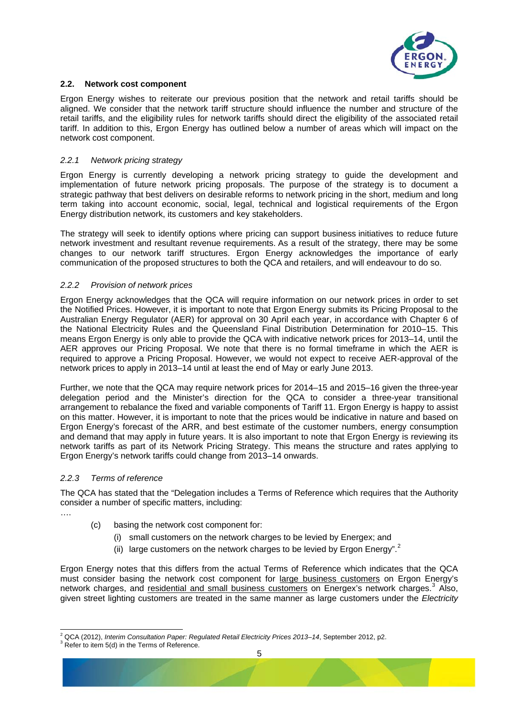

#### **2.2. Network cost component**

Ergon Energy wishes to reiterate our previous position that the network and retail tariffs should be aligned. We consider that the network tariff structure should influence the number and structure of the retail tariffs, and the eligibility rules for network tariffs should direct the eligibility of the associated retail tariff. In addition to this, Ergon Energy has outlined below a number of areas which will impact on the network cost component.

#### *2.2.1 Network pricing strategy*

Ergon Energy is currently developing a network pricing strategy to guide the development and implementation of future network pricing proposals. The purpose of the strategy is to document a strategic pathway that best delivers on desirable reforms to network pricing in the short, medium and long term taking into account economic, social, legal, technical and logistical requirements of the Ergon Energy distribution network, its customers and key stakeholders.

The strategy will seek to identify options where pricing can support business initiatives to reduce future network investment and resultant revenue requirements. As a result of the strategy, there may be some changes to our network tariff structures. Ergon Energy acknowledges the importance of early communication of the proposed structures to both the QCA and retailers, and will endeavour to do so.

#### *2.2.2 Provision of network prices*

Ergon Energy acknowledges that the QCA will require information on our network prices in order to set the Notified Prices. However, it is important to note that Ergon Energy submits its Pricing Proposal to the Australian Energy Regulator (AER) for approval on 30 April each year, in accordance with Chapter 6 of the National Electricity Rules and the Queensland Final Distribution Determination for 2010–15. This means Ergon Energy is only able to provide the QCA with indicative network prices for 2013–14, until the AER approves our Pricing Proposal. We note that there is no formal timeframe in which the AER is required to approve a Pricing Proposal. However, we would not expect to receive AER-approval of the network prices to apply in 2013–14 until at least the end of May or early June 2013.

Further, we note that the QCA may require network prices for 2014–15 and 2015–16 given the three-year delegation period and the Minister's direction for the QCA to consider a three-year transitional arrangement to rebalance the fixed and variable components of Tariff 11. Ergon Energy is happy to assist on this matter. However, it is important to note that the prices would be indicative in nature and based on Ergon Energy's forecast of the ARR, and best estimate of the customer numbers, energy consumption and demand that may apply in future years. It is also important to note that Ergon Energy is reviewing its network tariffs as part of its Network Pricing Strategy. This means the structure and rates applying to Ergon Energy's network tariffs could change from 2013–14 onwards.

#### *2.2.3 Terms of reference*

The QCA has stated that the "Delegation includes a Terms of Reference which requires that the Authority consider a number of specific matters, including:

….

- (c) basing the network cost component for:
	- (i) small customers on the network charges to be levied by Energex; and
	- (ii) large customers on the network charges to be levied by Ergon Energy".<sup>[2](#page-4-0)</sup>

Ergon Energy notes that this differs from the actual Terms of Reference which indicates that the QCA must consider basing the network cost component for large business customers on Ergon Energy's network charges, and residential and small business customers on Energex's network charges.<sup>[3](#page-4-1)</sup> Also, given street lighting customers are treated in the same manner as large customers under the *Electricity* 

<span id="page-4-0"></span><sup>&</sup>lt;sup>2</sup> QCA (2012), *Interim Consultation Paper: Regulated Retail Electricity Prices 2013–14*, September 2012, p2.<br><sup>3</sup> Refecto itam 5(d) in the Terme of Reference.

<span id="page-4-1"></span>Refer to item 5(d) in the Terms of Reference.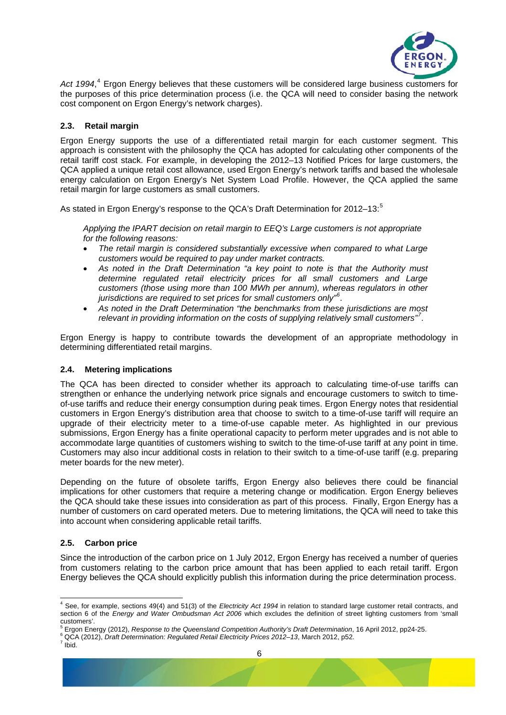

Act 199[4](#page-5-0),<sup>4</sup> Ergon Energy believes that these customers will be considered large business customers for the purposes of this price determination process (i.e. the QCA will need to consider basing the network cost component on Ergon Energy's network charges).

#### **2.3. Retail margin**

Ergon Energy supports the use of a differentiated retail margin for each customer segment. This approach is consistent with the philosophy the QCA has adopted for calculating other components of the retail tariff cost stack. For example, in developing the 2012–13 Notified Prices for large customers, the QCA applied a unique retail cost allowance, used Ergon Energy's network tariffs and based the wholesale energy calculation on Ergon Energy's Net System Load Profile. However, the QCA applied the same retail margin for large customers as small customers.

As stated in Ergon Energy's response to the QCA's Draft Determination for 2012-13:<sup>[5](#page-5-1)</sup>

*Applying the IPART decision on retail margin to EEQ's Large customers is not appropriate for the following reasons:* 

- *The retail margin is considered substantially excessive when compared to what Large customers would be required to pay under market contracts.*
- *As noted in the Draft Determination "a key point to note is that the Authority must determine regulated retail electricity prices for all small customers and Large customers (those using more than 100 MWh per annum), whereas regulators in other jurisdictions are required to set prices for small customers only"[6](#page-5-2) .*
- *As noted in the Draft Determination "the benchmarks from these jurisdictions are most relevant in providing information on the costs of supplying relatively small customers"[7](#page-5-3) .*

Ergon Energy is happy to contribute towards the development of an appropriate methodology in determining differentiated retail margins.

#### **2.4. Metering implications**

The QCA has been directed to consider whether its approach to calculating time-of-use tariffs can strengthen or enhance the underlying network price signals and encourage customers to switch to timeof-use tariffs and reduce their energy consumption during peak times. Ergon Energy notes that residential customers in Ergon Energy's distribution area that choose to switch to a time-of-use tariff will require an upgrade of their electricity meter to a time-of-use capable meter. As highlighted in our previous submissions, Ergon Energy has a finite operational capacity to perform meter upgrades and is not able to accommodate large quantities of customers wishing to switch to the time-of-use tariff at any point in time. Customers may also incur additional costs in relation to their switch to a time-of-use tariff (e.g. preparing meter boards for the new meter).

Depending on the future of obsolete tariffs, Ergon Energy also believes there could be financial implications for other customers that require a metering change or modification. Ergon Energy believes the QCA should take these issues into consideration as part of this process. Finally, Ergon Energy has a number of customers on card operated meters. Due to metering limitations, the QCA will need to take this into account when considering applicable retail tariffs.

#### **2.5. Carbon price**

Since the introduction of the carbon price on 1 July 2012, Ergon Energy has received a number of queries from customers relating to the carbon price amount that has been applied to each retail tariff. Ergon Energy believes the QCA should explicitly publish this information during the price determination process.

<span id="page-5-0"></span> 4 See, for example, sections 49(4) and 51(3) of the *Electricity Act 1994* in relation to standard large customer retail contracts, and section 6 of the *Energy and Water Ombudsman Act 2006* which excludes the definition of street lighting customers from 'small customers'.<br><sup>5</sup> Ergen Ene

Ergon Energy (2012), *Response to the Queensland Competition Authority's Draft Determination*, 16 April 2012, pp24-25. 6

<span id="page-5-3"></span><span id="page-5-2"></span><span id="page-5-1"></span><sup>&</sup>lt;sup>6</sup> QCA (2012), *Draft Determination: Regulated Retail Electricity Prices 2012–13*, March 2012, p52.

 $7$  Ibid.